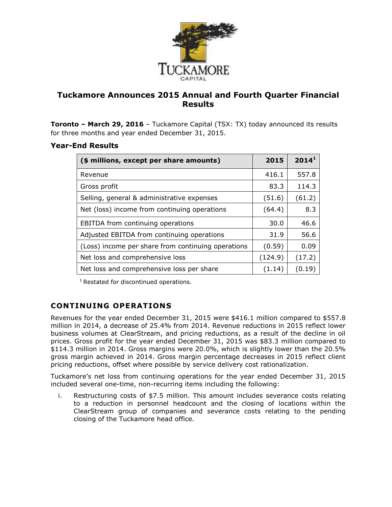

# **Tuckamore Announces 2015 Annual and Fourth Quarter Financial Results**

**Toronto – March 29, 2016** – Tuckamore Capital (TSX: TX) today announced its results for three months and year ended December 31, 2015.

## **Year-End Results**

| (\$ millions, except per share amounts)            | 2015    | 2014 <sup>1</sup> |
|----------------------------------------------------|---------|-------------------|
| Revenue                                            | 416.1   | 557.8             |
| Gross profit                                       | 83.3    | 114.3             |
| Selling, general & administrative expenses         | (51.6)  | (61.2)            |
| Net (loss) income from continuing operations       | (64.4)  | 8.3               |
| <b>EBITDA</b> from continuing operations           | 30.0    | 46.6              |
| Adjusted EBITDA from continuing operations         | 31.9    | 56.6              |
| (Loss) income per share from continuing operations | (0.59)  | 0.09              |
| Net loss and comprehensive loss                    | (124.9) | (17.2)            |
| Net loss and comprehensive loss per share          | (1.14)  | (0.19)            |

<sup>1</sup> Restated for discontinued operations.

# **CONTINUING OPERATIONS**

Revenues for the year ended December 31, 2015 were \$416.1 million compared to \$557.8 million in 2014, a decrease of 25.4% from 2014. Revenue reductions in 2015 reflect lower business volumes at ClearStream, and pricing reductions, as a result of the decline in oil prices. Gross profit for the year ended December 31, 2015 was \$83.3 million compared to \$114.3 million in 2014. Gross margins were 20.0%, which is slightly lower than the 20.5% gross margin achieved in 2014. Gross margin percentage decreases in 2015 reflect client pricing reductions, offset where possible by service delivery cost rationalization.

Tuckamore's net loss from continuing operations for the year ended December 31, 2015 included several one-time, non-recurring items including the following:

i. Restructuring costs of \$7.5 million. This amount includes severance costs relating to a reduction in personnel headcount and the closing of locations within the ClearStream group of companies and severance costs relating to the pending closing of the Tuckamore head office.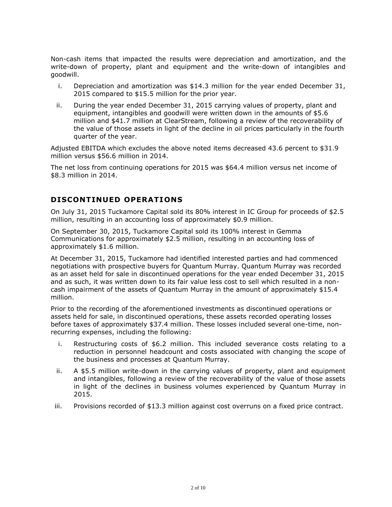Non-cash items that impacted the results were depreciation and amortization, and the write-down of property, plant and equipment and the write-down of intangibles and goodwill.

- i. Depreciation and amortization was \$14.3 million for the year ended December 31, 2015 compared to \$15.5 million for the prior year.
- ii. During the year ended December 31, 2015 carrying values of property, plant and equipment, intangibles and goodwill were written down in the amounts of \$5.6 million and \$41.7 million at ClearStream, following a review of the recoverability of the value of those assets in light of the decline in oil prices particularly in the fourth quarter of the year.

Adjusted EBITDA which excludes the above noted items decreased 43.6 percent to \$31.9 million versus \$56.6 million in 2014.

The net loss from continuing operations for 2015 was \$64.4 million versus net income of \$8.3 million in 2014.

## **DISCONTINUED OPERATIONS**

On July 31, 2015 Tuckamore Capital sold its 80% interest in IC Group for proceeds of \$2.5 million, resulting in an accounting loss of approximately \$0.9 million.

On September 30, 2015, Tuckamore Capital sold its 100% interest in Gemma Communications for approximately \$2.5 million, resulting in an accounting loss of approximately \$1.6 million.

At December 31, 2015, Tuckamore had identified interested parties and had commenced negotiations with prospective buyers for Quantum Murray. Quantum Murray was recorded as an asset held for sale in discontinued operations for the year ended December 31, 2015 and as such, it was written down to its fair value less cost to sell which resulted in a noncash impairment of the assets of Quantum Murray in the amount of approximately \$15.4 million.

Prior to the recording of the aforementioned investments as discontinued operations or assets held for sale, in discontinued operations, these assets recorded operating losses before taxes of approximately \$37.4 million. These losses included several one-time, nonrecurring expenses, including the following:

- i. Restructuring costs of \$6.2 million. This included severance costs relating to a reduction in personnel headcount and costs associated with changing the scope of the business and processes at Quantum Murray.
- ii. A \$5.5 million write-down in the carrying values of property, plant and equipment and intangibles, following a review of the recoverability of the value of those assets in light of the declines in business volumes experienced by Quantum Murray in 2015.
- iii. Provisions recorded of \$13.3 million against cost overruns on a fixed price contract.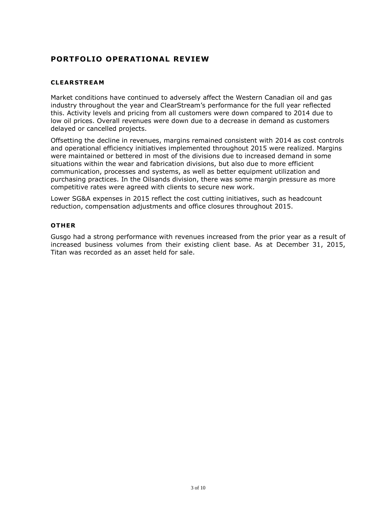# **PORTFOLIO OPERATIONAL REVIEW**

#### **CLEAR STREAM**

Market conditions have continued to adversely affect the Western Canadian oil and gas industry throughout the year and ClearStream's performance for the full year reflected this. Activity levels and pricing from all customers were down compared to 2014 due to low oil prices. Overall revenues were down due to a decrease in demand as customers delayed or cancelled projects.

Offsetting the decline in revenues, margins remained consistent with 2014 as cost controls and operational efficiency initiatives implemented throughout 2015 were realized. Margins were maintained or bettered in most of the divisions due to increased demand in some situations within the wear and fabrication divisions, but also due to more efficient communication, processes and systems, as well as better equipment utilization and purchasing practices. In the Oilsands division, there was some margin pressure as more competitive rates were agreed with clients to secure new work.

Lower SG&A expenses in 2015 reflect the cost cutting initiatives, such as headcount reduction, compensation adjustments and office closures throughout 2015.

#### **OTHER**

Gusgo had a strong performance with revenues increased from the prior year as a result of increased business volumes from their existing client base. As at December 31, 2015, Titan was recorded as an asset held for sale.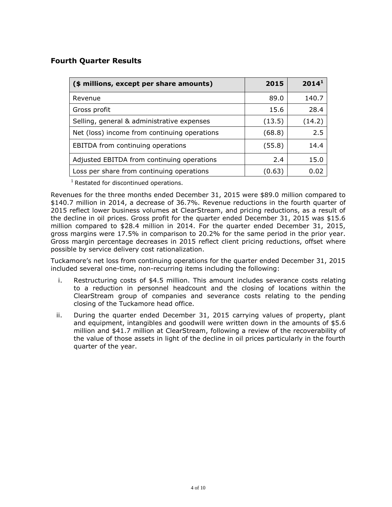## **Fourth Quarter Results**

| (\$ millions, except per share amounts)      | 2015   | 2014 <sup>1</sup> |
|----------------------------------------------|--------|-------------------|
| Revenue                                      | 89.0   | 140.7             |
| Gross profit                                 | 15.6   | 28.4              |
| Selling, general & administrative expenses   | (13.5) | (14.2)            |
| Net (loss) income from continuing operations | (68.8) | 2.5               |
| EBITDA from continuing operations            | (55.8) | 14.4              |
| Adjusted EBITDA from continuing operations   | 2.4    | 15.0              |
| Loss per share from continuing operations    | (0.63) | 0 O2              |

 $1$  Restated for discontinued operations.

Revenues for the three months ended December 31, 2015 were \$89.0 million compared to \$140.7 million in 2014, a decrease of 36.7%. Revenue reductions in the fourth quarter of 2015 reflect lower business volumes at ClearStream, and pricing reductions, as a result of the decline in oil prices. Gross profit for the quarter ended December 31, 2015 was \$15.6 million compared to \$28.4 million in 2014. For the quarter ended December 31, 2015, gross margins were 17.5% in comparison to 20.2% for the same period in the prior year. Gross margin percentage decreases in 2015 reflect client pricing reductions, offset where possible by service delivery cost rationalization.

Tuckamore's net loss from continuing operations for the quarter ended December 31, 2015 included several one-time, non-recurring items including the following:

- i. Restructuring costs of \$4.5 million. This amount includes severance costs relating to a reduction in personnel headcount and the closing of locations within the ClearStream group of companies and severance costs relating to the pending closing of the Tuckamore head office.
- ii. During the quarter ended December 31, 2015 carrying values of property, plant and equipment, intangibles and goodwill were written down in the amounts of \$5.6 million and \$41.7 million at ClearStream, following a review of the recoverability of the value of those assets in light of the decline in oil prices particularly in the fourth quarter of the year.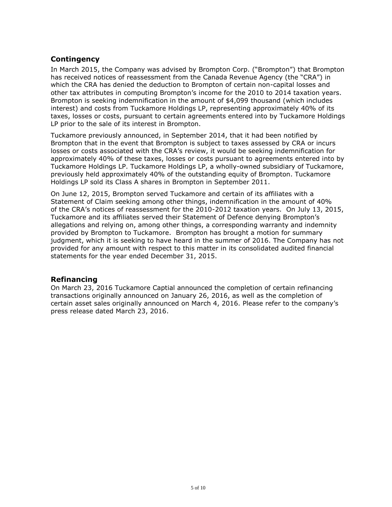## **Contingency**

In March 2015, the Company was advised by Brompton Corp. ("Brompton") that Brompton has received notices of reassessment from the Canada Revenue Agency (the "CRA") in which the CRA has denied the deduction to Brompton of certain non-capital losses and other tax attributes in computing Brompton's income for the 2010 to 2014 taxation years. Brompton is seeking indemnification in the amount of \$4,099 thousand (which includes interest) and costs from Tuckamore Holdings LP, representing approximately 40% of its taxes, losses or costs, pursuant to certain agreements entered into by Tuckamore Holdings LP prior to the sale of its interest in Brompton.

Tuckamore previously announced, in September 2014, that it had been notified by Brompton that in the event that Brompton is subject to taxes assessed by CRA or incurs losses or costs associated with the CRA's review, it would be seeking indemnification for approximately 40% of these taxes, losses or costs pursuant to agreements entered into by Tuckamore Holdings LP. Tuckamore Holdings LP, a wholly-owned subsidiary of Tuckamore, previously held approximately 40% of the outstanding equity of Brompton. Tuckamore Holdings LP sold its Class A shares in Brompton in September 2011.

On June 12, 2015, Brompton served Tuckamore and certain of its affiliates with a Statement of Claim seeking among other things, indemnification in the amount of 40% of the CRA's notices of reassessment for the 2010-2012 taxation years. On July 13, 2015, Tuckamore and its affiliates served their Statement of Defence denying Brompton's allegations and relying on, among other things, a corresponding warranty and indemnity provided by Brompton to Tuckamore. Brompton has brought a motion for summary judgment, which it is seeking to have heard in the summer of 2016. The Company has not provided for any amount with respect to this matter in its consolidated audited financial statements for the year ended December 31, 2015.

### **Refinancing**

On March 23, 2016 Tuckamore Captial announced the completion of certain refinancing transactions originally announced on January 26, 2016, as well as the completion of certain asset sales originally announced on March 4, 2016. Please refer to the company's press release dated March 23, 2016.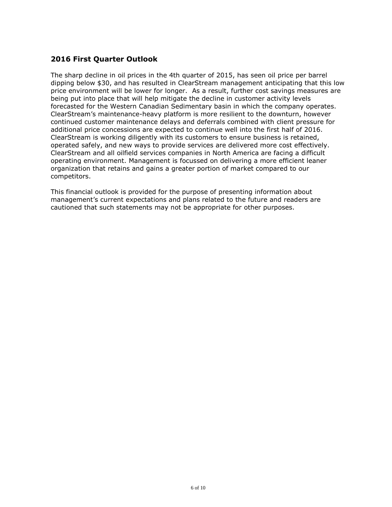## **2016 First Quarter Outlook**

The sharp decline in oil prices in the 4th quarter of 2015, has seen oil price per barrel dipping below \$30, and has resulted in ClearStream management anticipating that this low price environment will be lower for longer. As a result, further cost savings measures are being put into place that will help mitigate the decline in customer activity levels forecasted for the Western Canadian Sedimentary basin in which the company operates. ClearStream's maintenance-heavy platform is more resilient to the downturn, however continued customer maintenance delays and deferrals combined with client pressure for additional price concessions are expected to continue well into the first half of 2016. ClearStream is working diligently with its customers to ensure business is retained, operated safely, and new ways to provide services are delivered more cost effectively. ClearStream and all oilfield services companies in North America are facing a difficult operating environment. Management is focussed on delivering a more efficient leaner organization that retains and gains a greater portion of market compared to our competitors.

This financial outlook is provided for the purpose of presenting information about management's current expectations and plans related to the future and readers are cautioned that such statements may not be appropriate for other purposes.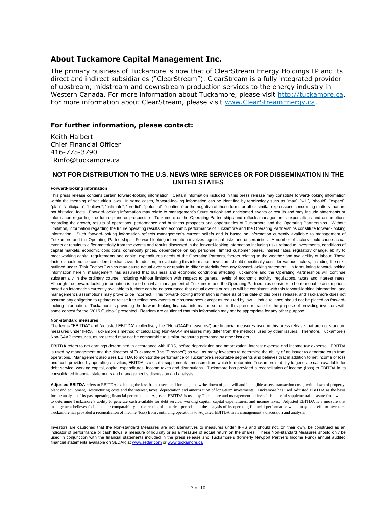#### **About Tuckamore Capital Management Inc.**

The primary business of Tuckamore is now that of ClearStream Energy Holdings LP and its direct and indirect subsidiaries ("ClearStream"). ClearStream is a fully integrated provider of upstream, midstream and downstream production services to the energy industry in Western Canada. For more information about Tuckamore, please visit [http://tuckamore.ca.](http://tuckamore.ca/) For more information about ClearStream, please visit [www.ClearStreamEnergy.ca.](http://www.clearstreamenergy.ca/)

#### **For further information, please contact:**

Keith Halbert Chief Financial Officer 416-775-3790 IRinfo@tuckamore.ca

#### **NOT FOR DISTRIBUTION TO THE U.S. NEWS WIRE SERVICES OR FOR DISSEMINATION IN THE UNITED STATES**

#### **Forward-looking information**

This press release contains certain forward-looking information. Certain information included in this press release may constitute forward-looking information within the meaning of securities laws. In some cases, forward-looking information can be identified by terminology such as "may", "will", "should", "expect", "plan", "anticipate", "believe", "estimate", "predict", "potential", "continue" or the negative of these terms or other similar expressions concerning matters that are not historical facts. Forward-looking information may relate to management's future outlook and anticipated events or results and may include statements or information regarding the future plans or prospects of Tuckamore or the Operating Partnerships and reflects management's expectations and assumptions regarding the growth, results of operations, performance and business prospects and opportunities of Tuckamore and the Operating Partnerships. Without limitation, information regarding the future operating results and economic performance of Tuckamore and the Operating Partnerships constitute forward-looking information. Such forward-looking information reflects management's current beliefs and is based on information currently available to management of Tuckamore and the Operating Partnerships. Forward-looking information involves significant risks and uncertainties. A number of factors could cause actual events or results to differ materially from the events and results discussed in the forward-looking information including risks related to investments, conditions of capital markets, economic conditions, commodity prices, dependence on key personnel, limited customer bases, interest rates, regulatory change, ability to meet working capital requirements and capital expenditures needs of the Operating Partners, factors relating to the weather and availability of labour. These factors should not be considered exhaustive. In addition, in evaluating this information, investors should specifically consider various factors, including the risks outlined under "Risk Factors," which may cause actual events or results to differ materially from any forward-looking statement. In formulating forward-looking information herein, management has assumed that business and economic conditions affecting Tuckamore and the Operating Partnerships will continue substantially in the ordinary course, including without limitation with respect to general levels of economic activity, regulations, taxes and interest rates. Although the forward-looking information is based on what management of Tuckamore and the Operating Partnerships consider to be reasonable assumptions based on information currently available to it, there can be no assurance that actual events or results will be consistent with this forward-looking information, and management's assumptions may prove to be incorrect. This forward-looking information is made as of the date of this press release, and Tuckamore does not assume any obligation to update or revise it to reflect new events or circumstances except as required by law. Undue reliance should not be placed on forwardlooking information. Tuckamore is providing the forward-looking financial information set out in this press release for the purpose of providing investors with some context for the "2015 Outlook" presented. Readers are cautioned that this information may not be appropriate for any other purpose.

#### **Non-standard measures**

The terms ''EBITDA'' and "adjusted EBITDA" (collectively the ''Non-GAAP measures") are financial measures used in this press release that are not standard measures under IFRS. Tuckamore's method of calculating Non-GAAP measures may differ from the methods used by other issuers. Therefore, Tuckamore's Non-GAAP measures, as presented may not be comparable to similar measures presented by other issuers.

**EBITDA** refers to net earnings determined in accordance with IFRS, before depreciation and amortization, interest expense and income tax expense. EBITDA is used by management and the directors of Tuckamore (the "Directors") as well as many investors to determine the ability of an issuer to generate cash from operations. Management also uses EBITDA to monitor the performance of Tuckamore's reportable segments and believes that in addition to net income or loss and cash provided by operating activities, EBITDA is a useful supplemental measure from which to determine Tuckamore's ability to generate cash available for debt service, working capital, capital expenditures, income taxes and distributions. Tuckamore has provided a reconciliation of income (loss) to EBITDA in its consolidated financial statements and management's discussion and analysis.

Adjusted EBITDA refers to EBITDA excluding the loss from assets held for sale, the write-down of goodwill and intangible assets, transaction costs, write-down of property, plant and equipment, restructuring costs and the interest, taxes, depreciation and amortization of long-term investments. Tuckamore has used Adjusted EBITDA as the basis for the analysis of its past operating financial performance. Adjusted EBITDA is used by Tuckamore and management believes it is a useful supplemental measure from which to determine Tuckamore's ability to generate cash available for debt service, working capital, capital expenditures, and income taxes. Adjusted EBITDA is a measure that management believes facilitates the comparability of the results of historical periods and the analysis of its operating financial performance which may be useful to investors. Tuckamore has provided a reconciliation of income (loss) from continuing operations to Adjusted EBITDA in its management's discussion and analysis.

Investors are cautioned that the Non-standard Measures are not alternatives to measures under IFRS and should not, on their own, be construed as an indicator of performance or cash flows, a measure of liquidity or as a measure of actual return on the shares. These Non-standard Measures should only be used in conjunction with the financial statements included in the press release and Tuckamore's (formerly Newport Partners Income Fund) annual audited financial statements available on SEDAR a[t www.sedar.com](http://www.sedar.com/) o[r www.tuckamore.ca](http://www.tuckamore.ca/)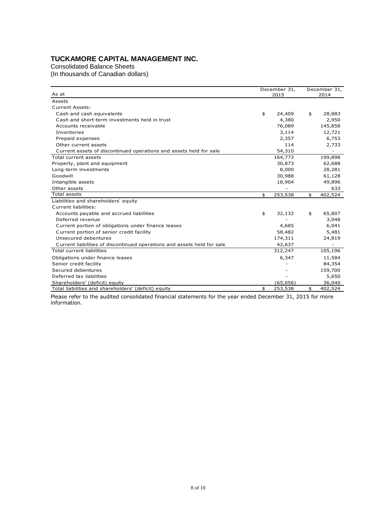# **TUCKAMORE CAPITAL MANAGEMENT INC.**

Consolidated Balance Sheets

(In thousands of Canadian dollars)

| As at                                                                   | December 31,<br>2015 |           | December 31,<br>2014 |         |
|-------------------------------------------------------------------------|----------------------|-----------|----------------------|---------|
| Assets                                                                  |                      |           |                      |         |
| <b>Current Assets:</b>                                                  |                      |           |                      |         |
| Cash and cash equivalents                                               | \$                   | 24,409    | \$                   | 28,883  |
| Cash and short-term investments held in trust                           |                      | 4,380     |                      | 2,950   |
| Accounts receivable                                                     |                      | 76,089    |                      | 145,858 |
| Inventories                                                             |                      | 3,114     |                      | 12,721  |
| Prepaid expenses                                                        |                      | 2,357     |                      | 6,753   |
| Other current assets                                                    |                      | 114       |                      | 2,733   |
| Current assets of discontinued operations and assets held for sale      |                      | 54,310    |                      |         |
| Total current assets                                                    |                      | 164,773   |                      | 199,898 |
| Property, plant and equipment                                           |                      | 30,873    |                      | 62,688  |
| Long-term investments                                                   |                      | 8,000     |                      | 28,281  |
| Goodwill                                                                |                      | 30,988    |                      | 61,128  |
| Intangible assets                                                       |                      | 18,904    |                      | 49,896  |
| Other assets                                                            |                      |           |                      | 633     |
| <b>Total assets</b>                                                     | \$                   | 253,538   | \$                   | 402,524 |
| Liabilities and shareholders' equity                                    |                      |           |                      |         |
| Current liabilities:                                                    |                      |           |                      |         |
| Accounts payable and accrued liabilities                                | \$                   | 32,132    | \$                   | 65,807  |
| Deferred revenue                                                        |                      |           |                      | 3,048   |
| Current portion of obligations under finance leases                     |                      | 4,685     |                      | 6,041   |
| Current portion of senior credit facility                               |                      | 58,482    |                      | 5,481   |
| Unsecured debentures                                                    |                      | 174,311   |                      | 24,819  |
| Current liabilities of discontinued operations and assets held for sale |                      | 42,637    |                      |         |
| Total current liabilities                                               |                      | 312,247   |                      | 105,196 |
| Obligations under finance leases                                        |                      | 6,347     |                      | 11,584  |
| Senior credit facility                                                  |                      |           |                      | 84,354  |
| Secured debentures                                                      |                      |           |                      | 159,700 |
| Deferred tax liabilities                                                |                      |           |                      | 5,650   |
| Shareholders' (deficit) equity                                          |                      | (65, 056) |                      | 36,040  |
| Total liabilities and shareholders' (deficit) equity                    | \$                   | 253,538   | \$                   | 402,524 |

Please refer to the audited consolidated financial statements for the year ended December 31, 2015 for more information.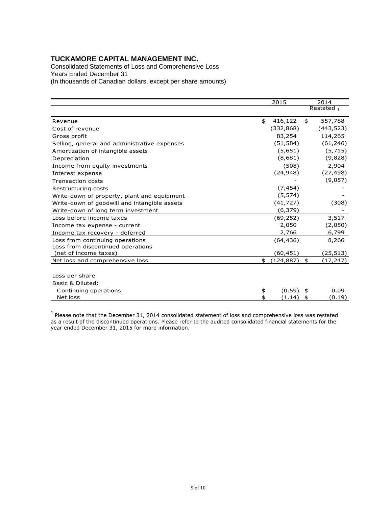## **TUCKAMORE CAPITAL MANAGEMENT INC.**

Consolidated Statements of Loss and Comprehensive Loss Years Ended December 31 (In thousands of Canadian dollars, except per share amounts)

|                                              | 2015             | 2014 |           |
|----------------------------------------------|------------------|------|-----------|
|                                              |                  |      | Restated, |
| Revenue                                      | \$<br>416,122    | \$   | 557,788   |
| Cost of revenue                              | (332,868)        |      | (443,523) |
| Gross profit                                 | 83,254           |      | 114,265   |
| Selling, general and administrative expenses | (51, 584)        |      | (61, 246) |
| Amortization of intangible assets            | (5,651)          |      | (5,715)   |
| Depreciation                                 | (8,681)          |      | (9,828)   |
| Income from equity investments               | (508)            |      | 2,904     |
| Interest expense                             | (24, 948)        |      | (27, 498) |
| <b>Transaction costs</b>                     |                  |      | (9,057)   |
| Restructuring costs                          | (7, 454)         |      |           |
| Write-down of property, plant and equipment  | (5, 574)         |      |           |
| Write-down of goodwill and intangible assets | (41, 727)        |      | (308)     |
| Write-down of long term investment           | (6, 379)         |      |           |
| Loss before income taxes                     | (69, 252)        |      | 3,517     |
| Income tax expense - current                 | 2,050            |      | (2,050)   |
| Income tax recovery - deferred               | 2,766            |      | 6,799     |
| Loss from continuing operations              | (64, 436)        |      | 8,266     |
| Loss from discontinued operations            |                  |      |           |
| (net of income taxes)                        | (60,451)         |      | (25, 513) |
| Net loss and comprehensive loss              | \$<br>(124, 887) | \$   | (17,247)  |
|                                              |                  |      |           |
| Loss per share                               |                  |      |           |
| Basic & Diluted:                             |                  |      |           |
| Continuing operations                        | \$<br>(0.59)     | \$   | 0.09      |
| Net loss                                     | (1.14)           | \$   | (0.19)    |

 $1$  Please note that the December 31, 2014 consolidated statement of loss and comprehensive loss was restated as a result of the discontinued operations. Please refer to the audited consolidated financial statements for the year ended December 31, 2015 for more information.